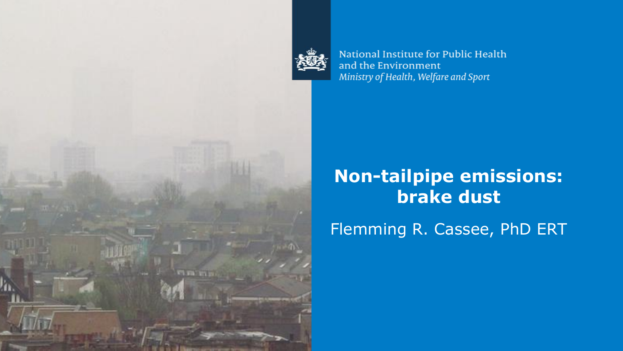

da n

National Institute for Public Health and the Environment Ministry of Health, Welfare and Sport

# **Non-tailpipe emissions: brake dust**

Flemming R. Cassee, PhD ERT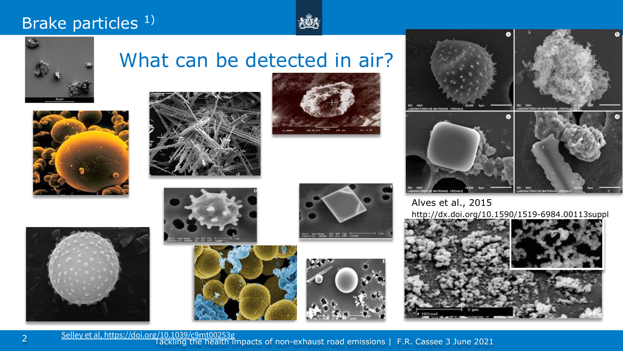#### Brake particles<sup>1)</sup>





#### What can be detected in air?





















Alves et al., 2015 http://dx.doi.org/10.1590/1519-6984.00113suppl



[Selley et al, https://doi.org/10.1039/c9mt00253g](https://doi.org/10.1039/c9mt00253g)<br>Tackling the health impacts of non-exhaust road emissions | F.R. Cassee 3 June 2021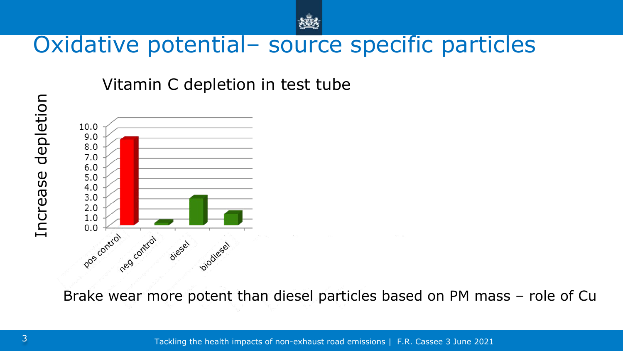

### Oxidative potential– source specific particles

Vitamin C depletion in test tube



Brake wear more potent than diesel particles based on PM mass – role of Cu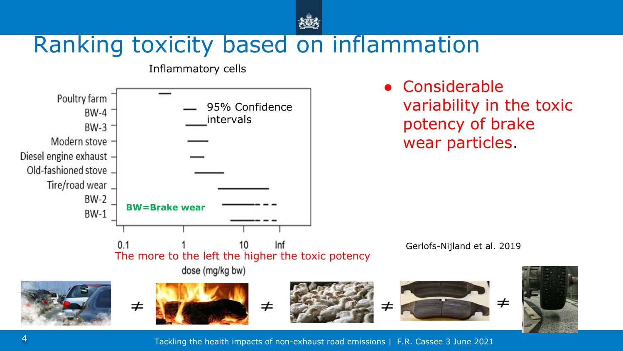

# Ranking toxicity based on inflammation

Inflammatory cells



Tackling the health impacts of non-exhaust road emissions | F.R. Cassee 3 June 2021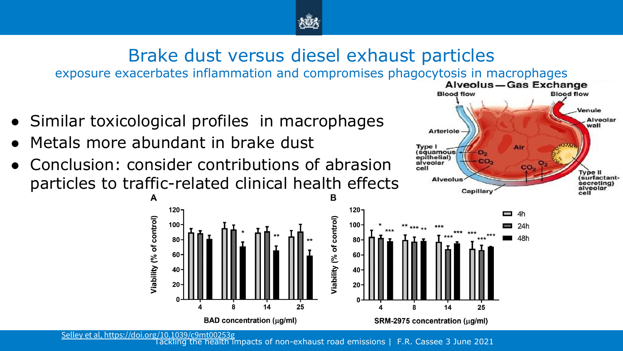

# Brake dust versus diesel exhaust particles

exposure exacerbates inflammation and compromises phagocytosis in macrophages<br>Alveolus – Gas Exchange

- Similar toxicological profiles in macrophages
- Metals more abundant in brake dust

 $120<sub>1</sub>$ 

 $100<sub>1</sub>$ 

A

Viability (% of control)

Conclusion: consider contributions of abrasion particles to traffic-related clinical health effects



**Blood flow** 

**Blood flow** 

[Selley et al, https://doi.org/10.1039/c9mt00253g](https://doi.org/10.1039/c9mt00253g)

Tackling the health impacts of non-exhaust road emissions | F.R. Cassee 3 June 2021